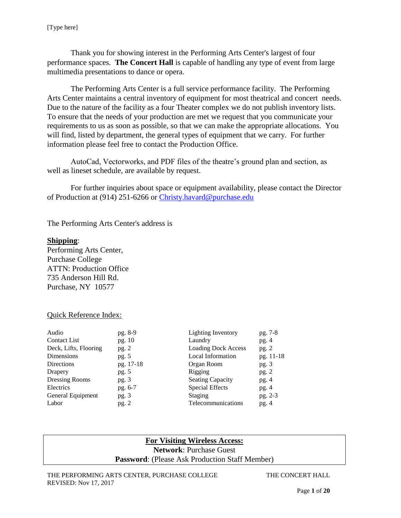Thank you for showing interest in the Performing Arts Center's largest of four performance spaces. **The Concert Hall** is capable of handling any type of event from large multimedia presentations to dance or opera.

The Performing Arts Center is a full service performance facility. The Performing Arts Center maintains a central inventory of equipment for most theatrical and concert needs. Due to the nature of the facility as a four Theater complex we do not publish inventory lists. To ensure that the needs of your production are met we request that you communicate your requirements to us as soon as possible, so that we can make the appropriate allocations. You will find, listed by department, the general types of equipment that we carry. For further information please feel free to contact the Production Office.

AutoCad, Vectorworks, and PDF files of the theatre's ground plan and section, as well as lineset schedule, are available by request.

For further inquiries about space or equipment availability, please contact the Director of Production at (914) 251-6266 or [Christy.havard@purchase.edu](mailto:Christy.havard@purchase.edu)

The Performing Arts Center's address is

#### **Shipping**:

Performing Arts Center, Purchase College ATTN: Production Office 735 Anderson Hill Rd. Purchase, NY 10577

#### Quick Reference Index:

| Audio                 | pg. 8-9   | <b>Lighting Inventory</b>  | pg. 7-8   |
|-----------------------|-----------|----------------------------|-----------|
| <b>Contact List</b>   | pg. 10    | Laundry                    | pg.4      |
| Deck, Lifts, Flooring | pg. 2     | <b>Loading Dock Access</b> | pg. $2$   |
| Dimensions            | pg. $5$   | <b>Local Information</b>   | pg. 11-18 |
| Directions            | pg. 17-18 | Organ Room                 | pg. $3$   |
| Drapery               | pg. 5     | Rigging                    | pg.2      |
| Dressing Rooms        | pg.3      | <b>Seating Capacity</b>    | pg.4      |
| Electrics             | pg. 6-7   | <b>Special Effects</b>     | pg.4      |
| General Equipment     | pg.3      | Staging                    | pg. 2-3   |
| Labor                 | pg. 2     | Telecommunications         | pg.4      |

# **For Visiting Wireless Access:**

**Network**: Purchase Guest

**Password**: (Please Ask Production Staff Member)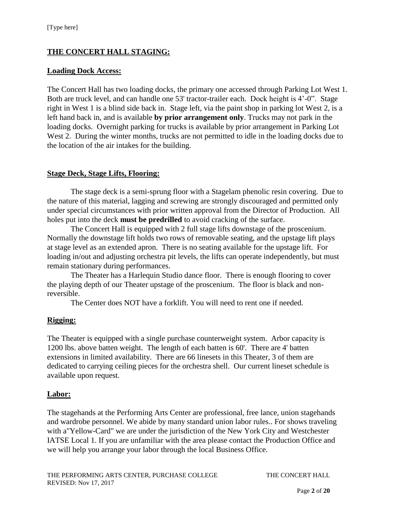# **THE CONCERT HALL STAGING:**

#### **Loading Dock Access:**

The Concert Hall has two loading docks, the primary one accessed through Parking Lot West 1. Both are truck level, and can handle one 53' tractor-trailer each. Dock height is 4'-0". Stage right in West 1 is a blind side back in. Stage left, via the paint shop in parking lot West 2, is a left hand back in, and is available **by prior arrangement only**. Trucks may not park in the loading docks. Overnight parking for trucks is available by prior arrangement in Parking Lot West 2. During the winter months, trucks are not permitted to idle in the loading docks due to the location of the air intakes for the building.

### **Stage Deck, Stage Lifts, Flooring:**

The stage deck is a semi-sprung floor with a Stagelam phenolic resin covering. Due to the nature of this material, lagging and screwing are strongly discouraged and permitted only under special circumstances with prior written approval from the Director of Production. All holes put into the deck **must be predrilled** to avoid cracking of the surface.

The Concert Hall is equipped with 2 full stage lifts downstage of the proscenium. Normally the downstage lift holds two rows of removable seating, and the upstage lift plays at stage level as an extended apron. There is no seating available for the upstage lift. For loading in/out and adjusting orchestra pit levels, the lifts can operate independently, but must remain stationary during performances.

The Theater has a Harlequin Studio dance floor. There is enough flooring to cover the playing depth of our Theater upstage of the proscenium. The floor is black and nonreversible.

The Center does NOT have a forklift. You will need to rent one if needed.

### **Rigging:**

The Theater is equipped with a single purchase counterweight system. Arbor capacity is 1200 lbs. above batten weight. The length of each batten is 60'. There are 4' batten extensions in limited availability. There are 66 linesets in this Theater, 3 of them are dedicated to carrying ceiling pieces for the orchestra shell. Our current lineset schedule is available upon request.

### **Labor:**

The stagehands at the Performing Arts Center are professional, free lance, union stagehands and wardrobe personnel. We abide by many standard union labor rules.. For shows traveling with a"Yellow-Card" we are under the jurisdiction of the New York City and Westchester IATSE Local 1. If you are unfamiliar with the area please contact the Production Office and we will help you arrange your labor through the local Business Office.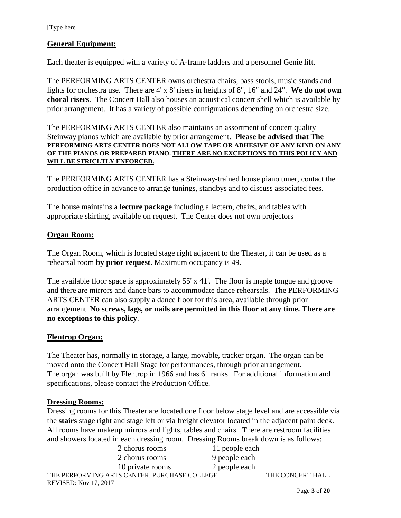### **General Equipment:**

Each theater is equipped with a variety of A-frame ladders and a personnel Genie lift.

The PERFORMING ARTS CENTER owns orchestra chairs, bass stools, music stands and lights for orchestra use. There are 4' x 8' risers in heights of 8", 16" and 24". **We do not own choral risers**. The Concert Hall also houses an acoustical concert shell which is available by prior arrangement. It has a variety of possible configurations depending on orchestra size.

The PERFORMING ARTS CENTER also maintains an assortment of concert quality Steinway pianos which are available by prior arrangement. **Please be advised that The PERFORMING ARTS CENTER DOES NOT ALLOW TAPE OR ADHESIVE OF ANY KIND ON ANY OF THE PIANOS OR PREPARED PIANO. THERE ARE NO EXCEPTIONS TO THIS POLICY AND WILL BE STRICLTLY ENFORCED.**

The PERFORMING ARTS CENTER has a Steinway-trained house piano tuner, contact the production office in advance to arrange tunings, standbys and to discuss associated fees.

The house maintains a **lecture package** including a lectern, chairs, and tables with appropriate skirting, available on request. The Center does not own projectors

#### **Organ Room:**

The Organ Room, which is located stage right adjacent to the Theater, it can be used as a rehearsal room **by prior request**. Maximum occupancy is 49.

The available floor space is approximately 55' x 41'. The floor is maple tongue and groove and there are mirrors and dance bars to accommodate dance rehearsals. The PERFORMING ARTS CENTER can also supply a dance floor for this area, available through prior arrangement. **No screws, lags, or nails are permitted in this floor at any time. There are no exceptions to this policy**.

#### **Flentrop Organ:**

The Theater has, normally in storage, a large, movable, tracker organ. The organ can be moved onto the Concert Hall Stage for performances, through prior arrangement. The organ was built by Flentrop in 1966 and has 61 ranks. For additional information and specifications, please contact the Production Office.

#### **Dressing Rooms:**

Dressing rooms for this Theater are located one floor below stage level and are accessible via the **stairs** stage right and stage left or via freight elevator located in the adjacent paint deck. All rooms have makeup mirrors and lights, tables and chairs. There are restroom facilities and showers located in each dressing room. Dressing Rooms break down is as follows:

|                                              | 2 chorus rooms   | 11 people each |                  |
|----------------------------------------------|------------------|----------------|------------------|
|                                              | 2 chorus rooms   | 9 people each  |                  |
|                                              | 10 private rooms | 2 people each  |                  |
| THE PERFORMING ARTS CENTER, PURCHASE COLLEGE |                  |                | THE CONCERT HALL |
| <b>REVISED: Nov 17, 2017</b>                 |                  |                |                  |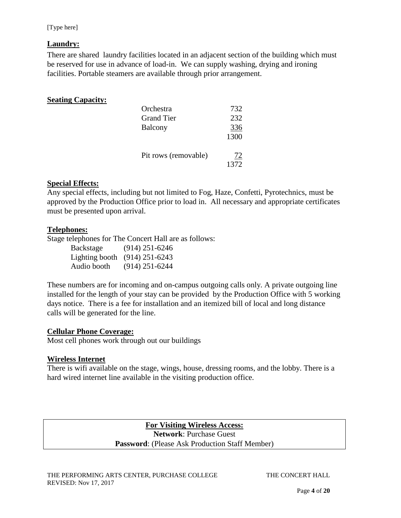### **Laundry:**

There are shared laundry facilities located in an adjacent section of the building which must be reserved for use in advance of load-in. We can supply washing, drying and ironing facilities. Portable steamers are available through prior arrangement.

### **Seating Capacity:**

| Orchestra            | 732  |
|----------------------|------|
| <b>Grand Tier</b>    | 232  |
| Balcony              | 336  |
|                      | 1300 |
| Pit rows (removable) | 72   |
|                      | 1372 |

### **Special Effects:**

Any special effects, including but not limited to Fog, Haze, Confetti, Pyrotechnics, must be approved by the Production Office prior to load in. All necessary and appropriate certificates must be presented upon arrival.

### **Telephones:**

Stage telephones for The Concert Hall are as follows:

| Backstage   | $(914)$ 251-6246              |
|-------------|-------------------------------|
|             | Lighting booth (914) 251-6243 |
| Audio booth | $(914)$ 251-6244              |

These numbers are for incoming and on-campus outgoing calls only. A private outgoing line installed for the length of your stay can be provided by the Production Office with 5 working days notice. There is a fee for installation and an itemized bill of local and long distance calls will be generated for the line.

# **Cellular Phone Coverage:**

Most cell phones work through out our buildings

### **Wireless Internet**

There is wifi available on the stage, wings, house, dressing rooms, and the lobby. There is a hard wired internet line available in the visiting production office.

> **For Visiting Wireless Access: Network**: Purchase Guest **Password**: (Please Ask Production Staff Member)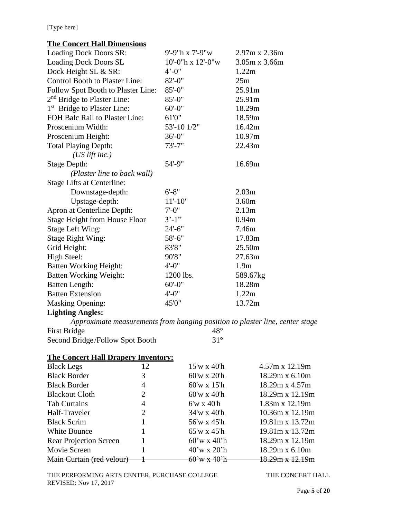# **The Concert Hall Dimensions**

| Loading Dock Doors SR:                                                       | 9'-9"h x 7'-9"w                |              | 2.97m x 2.36m     |
|------------------------------------------------------------------------------|--------------------------------|--------------|-------------------|
| <b>Loading Dock Doors SL</b>                                                 | $10'$ -0"h x $12'$ -0"w        |              | 3.05m x 3.66m     |
| Dock Height SL & SR:                                                         | $4^{\circ} - 0^{\prime\prime}$ |              | 1.22m             |
| <b>Control Booth to Plaster Line:</b>                                        | $82 - 0$ "                     |              | 25m               |
| Follow Spot Booth to Plaster Line:                                           | $85 - 0$ "                     |              | 25.91m            |
| 2 <sup>nd</sup> Bridge to Plaster Line:                                      | $85 - 0$ "                     |              | 25.91m            |
| 1 <sup>st</sup> Bridge to Plaster Line:                                      | $60' - 0''$                    |              | 18.29m            |
| FOH Balc Rail to Plaster Line:                                               | 61'0"                          |              | 18.59m            |
| Proscenium Width:                                                            | 53'-10 1/2"                    |              | 16.42m            |
| Proscenium Height:                                                           | $36 - 0$ "                     |              | 10.97m            |
| <b>Total Playing Depth:</b>                                                  | $73' - 7"$                     |              | 22.43m            |
| $(US$ lift inc.)                                                             |                                |              |                   |
| <b>Stage Depth:</b>                                                          | $54' - 9''$                    |              | 16.69m            |
| (Plaster line to back wall)                                                  |                                |              |                   |
| <b>Stage Lifts at Centerline:</b>                                            |                                |              |                   |
| Downstage-depth:                                                             | $6' - 8"$                      |              | 2.03 <sub>m</sub> |
| Upstage-depth:                                                               | $11 - 10"$                     |              | 3.60m             |
| Apron at Centerline Depth:                                                   | $7' - 0''$                     |              | 2.13m             |
| <b>Stage Height from House Floor</b>                                         | $3'-1"$                        |              | 0.94m             |
| <b>Stage Left Wing:</b>                                                      | $24 - 6"$                      |              | 7.46m             |
| <b>Stage Right Wing:</b>                                                     | $58 - 6"$                      |              | 17.83m            |
| Grid Height:                                                                 | 83'8"                          |              | 25.50m            |
| High Steel:                                                                  | 90'8"                          |              | 27.63m            |
| <b>Batten Working Height:</b>                                                | $4' - 0''$                     |              | 1.9 <sub>m</sub>  |
| <b>Batten Working Weight:</b>                                                | 1200 lbs.                      |              | 589.67kg          |
| <b>Batten Length:</b>                                                        | $60' - 0$ "                    |              | 18.28m            |
| <b>Batten Extension</b>                                                      | $4' - 0''$                     |              | 1.22m             |
| <b>Masking Opening:</b>                                                      | 45'0"                          |              | 13.72m            |
| <b>Lighting Angles:</b>                                                      |                                |              |                   |
| Approximate measurements from hanging position to plaster line, center stage |                                |              |                   |
| <b>First Bridge</b>                                                          |                                | $48^{\circ}$ |                   |
| Second Bridge/Follow Spot Booth                                              |                                | $31^\circ$   |                   |

# **The Concert Hall Drapery Inventory:**

| <b>Black Legs</b>             | 12 | $15'$ w x 40'h                   | $4.57m \times 12.19m$  |
|-------------------------------|----|----------------------------------|------------------------|
| <b>Black Border</b>           | 3  | $60'$ w x $20'h$                 | 18.29m x 6.10m         |
| <b>Black Border</b>           | 4  | $60'$ w x 15'h                   | 18.29m x 4.57m         |
| <b>Blackout Cloth</b>         | 2  | $60'$ w x 40'h                   | 18.29m x 12.19m        |
| <b>Tab Curtains</b>           | 4  | $6'w \times 40'h$                | $1.83m \times 12.19m$  |
| Half-Traveler                 | 2  | $34'w \times 40'h$               | $10.36m \times 12.19m$ |
| <b>Black Scrim</b>            |    | 56'w x 45'h                      | 19.81m x 13.72m        |
| White Bounce                  |    | $65'$ w x 45'h                   | 19.81m x 13.72m        |
| <b>Rear Projection Screen</b> |    | $60'$ w x 40'h                   | 18.29m x 12.19m        |
| Movie Screen                  |    | $40^{\circ}$ w x 20 $^{\circ}$ h | 18.29m x 6.10m         |
| Main Curtain (red velour)     |    | $60'$ w x $40'$ h                | 18.29m x 12.19m        |

THE PERFORMING ARTS CENTER, PURCHASE COLLEGE THE CONCERT HALL REVISED: Nov 17, 2017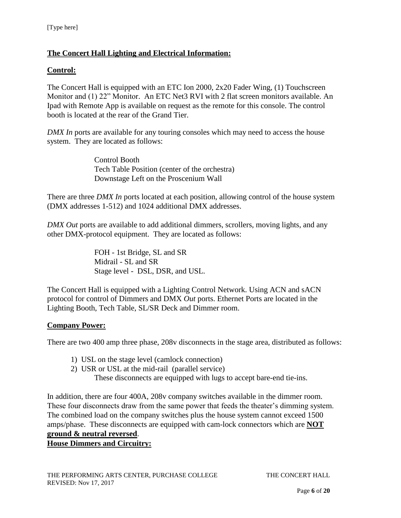# **The Concert Hall Lighting and Electrical Information:**

### **Control:**

The Concert Hall is equipped with an ETC Ion 2000, 2x20 Fader Wing, (1) Touchscreen Monitor and (1) 22" Monitor. An ETC Net3 RVI with 2 flat screen monitors available. An Ipad with Remote App is available on request as the remote for this console. The control booth is located at the rear of the Grand Tier.

*DMX In* ports are available for any touring consoles which may need to access the house system. They are located as follows:

> Control Booth Tech Table Position (center of the orchestra) Downstage Left on the Proscenium Wall

There are three *DMX In* ports located at each position, allowing control of the house system (DMX addresses 1-512) and 1024 additional DMX addresses.

*DMX Out* ports are available to add additional dimmers, scrollers, moving lights, and any other DMX-protocol equipment. They are located as follows:

> FOH - 1st Bridge, SL and SR Midrail - SL and SR Stage level - DSL, DSR, and USL.

The Concert Hall is equipped with a Lighting Control Network. Using ACN and sACN protocol for control of Dimmers and DMX *Out* ports. Ethernet Ports are located in the Lighting Booth, Tech Table, SL/SR Deck and Dimmer room.

### **Company Power:**

There are two 400 amp three phase, 208v disconnects in the stage area, distributed as follows:

- 1) USL on the stage level (camlock connection)
- 2) USR or USL at the mid-rail (parallel service)

These disconnects are equipped with lugs to accept bare-end tie-ins.

In addition, there are four 400A, 208v company switches available in the dimmer room. These four disconnects draw from the same power that feeds the theater's dimming system. The combined load on the company switches plus the house system cannot exceed 1500 amps/phase. These disconnects are equipped with cam-lock connectors which are **NOT ground & neutral reversed**.

## **House Dimmers and Circuitry:**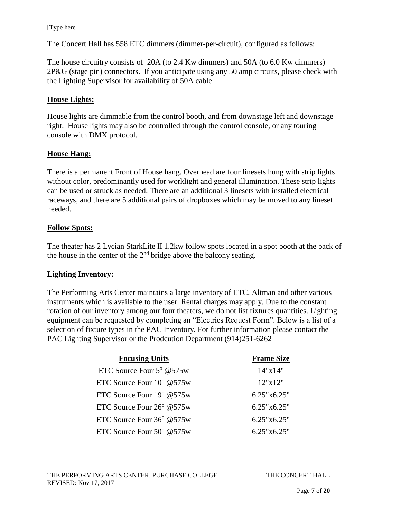The Concert Hall has 558 ETC dimmers (dimmer-per-circuit), configured as follows:

The house circuitry consists of 20A (to 2.4 Kw dimmers) and 50A (to 6.0 Kw dimmers) 2P&G (stage pin) connectors. If you anticipate using any 50 amp circuits, please check with the Lighting Supervisor for availability of 50A cable.

### **House Lights:**

House lights are dimmable from the control booth, and from downstage left and downstage right. House lights may also be controlled through the control console, or any touring console with DMX protocol.

### **House Hang:**

There is a permanent Front of House hang. Overhead are four linesets hung with strip lights without color, predominantly used for worklight and general illumination. These strip lights can be used or struck as needed. There are an additional 3 linesets with installed electrical raceways, and there are 5 additional pairs of dropboxes which may be moved to any lineset needed.

### **Follow Spots:**

The theater has 2 Lycian StarkLite II 1.2kw follow spots located in a spot booth at the back of the house in the center of the  $2<sup>nd</sup>$  bridge above the balcony seating.

### **Lighting Inventory:**

The Performing Arts Center maintains a large inventory of ETC, Altman and other various instruments which is available to the user. Rental charges may apply. Due to the constant rotation of our inventory among our four theaters, we do not list fixtures quantities. Lighting equipment can be requested by completing an "Electrics Request Form". Below is a list of a selection of fixture types in the PAC Inventory. For further information please contact the PAC Lighting Supervisor or the Prodcution Department (914)251-6262

| <b>Focusing Units</b>              | <b>Frame Size</b>  |
|------------------------------------|--------------------|
| ETC Source Four $5^{\circ}$ @575w  | 14"x14"            |
| ETC Source Four $10^{\circ}$ @575w | 12"x12"            |
| ETC Source Four $19^{\circ}$ @575w | $6.25$ "x $6.25$ " |
| ETC Source Four 26° @575w          | 6.25"x6.25"        |
| ETC Source Four $36^{\circ}$ @575w | 6.25"x6.25"        |
| ETC Source Four $50^{\circ}$ @575w | 6.25"x6.25"        |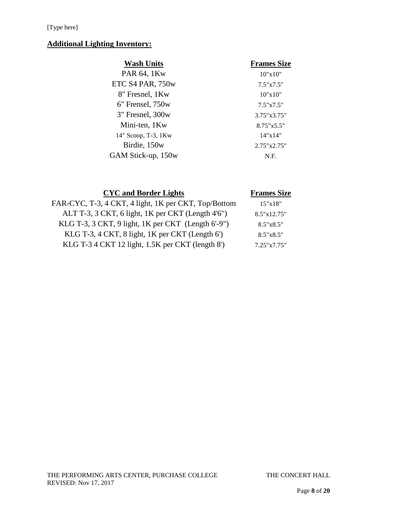# **Additional Lighting Inventory:**

| <b>Wash Units</b>   | <b>Frames Size</b>  |
|---------------------|---------------------|
| PAR 64, 1Kw         | 10"x10"             |
| ETC S4 PAR, 750w    | 7.5"x7.5"           |
| 8" Fresnel, 1Kw     | 10"x10"             |
| 6" Frensel, 750w    | $7.5" \times 7.5"$  |
| 3" Fresnel, 300w    | 3.75"x3.75"         |
| Mini-ten, 1Kw       | $8.75" \times 5.5"$ |
| 14" Scoop, T-3, 1Kw | 14"x14"             |
| Birdie, 150w        | 2.75"x2.75"         |
| GAM Stick-up, 150w  | N.F.                |
|                     |                     |

| <b>CYC</b> and Border Lights                         | <b>Frames Size</b> |
|------------------------------------------------------|--------------------|
| FAR-CYC, T-3, 4 CKT, 4 light, 1K per CKT, Top/Bottom | 15"x18"            |
| ALT T-3, 3 CKT, 6 light, 1K per CKT (Length 4'6")    | 8.5"x12.75"        |
| KLG T-3, 3 CKT, 9 light, 1K per CKT (Length 6'-9")   | $8.5" \times 8.5"$ |
| KLG T-3, 4 CKT, 8 light, 1K per CKT (Length 6')      | $8.5" \times 8.5"$ |
| KLG T-3 4 CKT 12 light, 1.5K per CKT (length 8')     | 7.25"x7.75"        |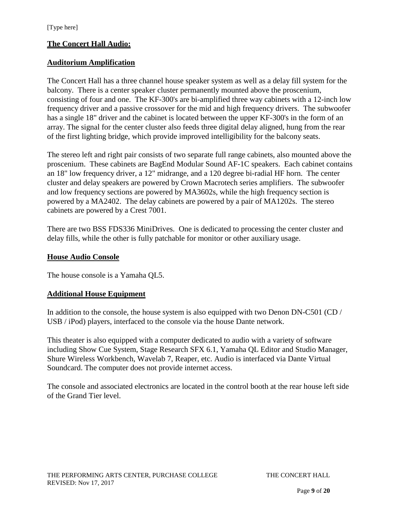# **The Concert Hall Audio:**

### **Auditorium Amplification**

The Concert Hall has a three channel house speaker system as well as a delay fill system for the balcony. There is a center speaker cluster permanently mounted above the proscenium, consisting of four and one. The KF-300's are bi-amplified three way cabinets with a 12-inch low frequency driver and a passive crossover for the mid and high frequency drivers. The subwoofer has a single 18" driver and the cabinet is located between the upper KF-300's in the form of an array. The signal for the center cluster also feeds three digital delay aligned, hung from the rear of the first lighting bridge, which provide improved intelligibility for the balcony seats.

The stereo left and right pair consists of two separate full range cabinets, also mounted above the proscenium. These cabinets are BagEnd Modular Sound AF-1C speakers. Each cabinet contains an 18" low frequency driver, a 12" midrange, and a 120 degree bi-radial HF horn. The center cluster and delay speakers are powered by Crown Macrotech series amplifiers. The subwoofer and low frequency sections are powered by MA3602s, while the high frequency section is powered by a MA2402. The delay cabinets are powered by a pair of MA1202s. The stereo cabinets are powered by a Crest 7001.

There are two BSS FDS336 MiniDrives. One is dedicated to processing the center cluster and delay fills, while the other is fully patchable for monitor or other auxiliary usage.

#### **House Audio Console**

The house console is a Yamaha QL5.

### **Additional House Equipment**

In addition to the console, the house system is also equipped with two Denon DN-C501 (CD / USB / iPod) players, interfaced to the console via the house Dante network.

This theater is also equipped with a computer dedicated to audio with a variety of software including Show Cue System, Stage Research SFX 6.1, Yamaha QL Editor and Studio Manager, Shure Wireless Workbench, Wavelab 7, Reaper, etc. Audio is interfaced via Dante Virtual Soundcard. The computer does not provide internet access.

The console and associated electronics are located in the control booth at the rear house left side of the Grand Tier level.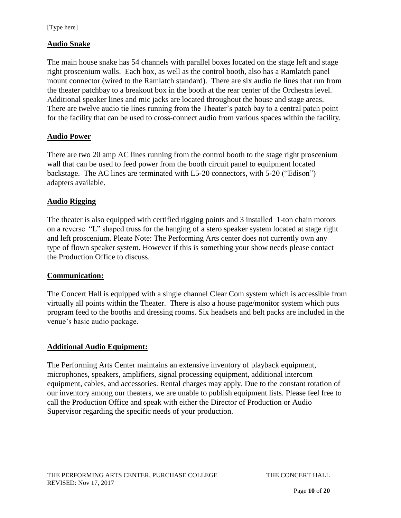## **Audio Snake**

The main house snake has 54 channels with parallel boxes located on the stage left and stage right proscenium walls. Each box, as well as the control booth, also has a Ramlatch panel mount connector (wired to the Ramlatch standard). There are six audio tie lines that run from the theater patchbay to a breakout box in the booth at the rear center of the Orchestra level. Additional speaker lines and mic jacks are located throughout the house and stage areas. There are twelve audio tie lines running from the Theater's patch bay to a central patch point for the facility that can be used to cross-connect audio from various spaces within the facility.

### **Audio Power**

There are two 20 amp AC lines running from the control booth to the stage right proscenium wall that can be used to feed power from the booth circuit panel to equipment located backstage. The AC lines are terminated with L5-20 connectors, with 5-20 ("Edison") adapters available.

### **Audio Rigging**

The theater is also equipped with certified rigging points and 3 installed 1-ton chain motors on a reverse "L" shaped truss for the hanging of a stero speaker system located at stage right and left proscenium. Pleate Note: The Performing Arts center does not currently own any type of flown speaker system. However if this is something your show needs please contact the Production Office to discuss.

### **Communication:**

The Concert Hall is equipped with a single channel Clear Com system which is accessible from virtually all points within the Theater. There is also a house page/monitor system which puts program feed to the booths and dressing rooms. Six headsets and belt packs are included in the venue's basic audio package.

### **Additional Audio Equipment:**

The Performing Arts Center maintains an extensive inventory of playback equipment, microphones, speakers, amplifiers, signal processing equipment, additional intercom equipment, cables, and accessories. Rental charges may apply. Due to the constant rotation of our inventory among our theaters, we are unable to publish equipment lists. Please feel free to call the Production Office and speak with either the Director of Production or Audio Supervisor regarding the specific needs of your production.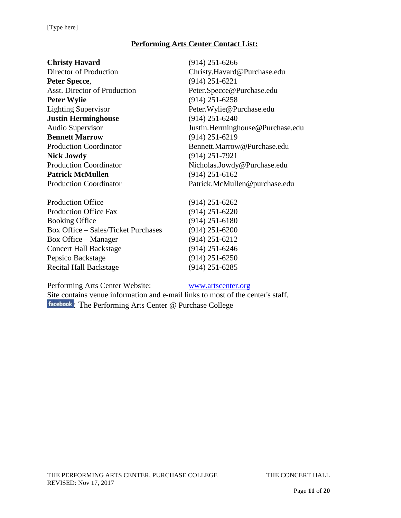# **Performing Arts Center Contact List:**

| <b>Christy Havard</b>         | $(914)$ 251-6266                 |  |
|-------------------------------|----------------------------------|--|
| Director of Production        | Christy.Havard@Purchase.edu      |  |
| Peter Specce,                 | $(914)$ 251-6221                 |  |
| Asst. Director of Production  | Peter.Specce@Purchase.edu        |  |
| <b>Peter Wylie</b>            | $(914)$ 251-6258                 |  |
| <b>Lighting Supervisor</b>    | Peter. Wylie@Purchase.edu        |  |
| <b>Justin Herminghouse</b>    | $(914)$ 251-6240                 |  |
| Audio Supervisor              | Justin.Herminghouse@Purchase.edu |  |
| <b>Bennett Marrow</b>         | $(914)$ 251-6219                 |  |
| <b>Production Coordinator</b> | Bennett.Marrow@Purchase.edu      |  |
| <b>Nick Jowdy</b>             | $(914)$ 251-7921                 |  |
| <b>Production Coordinator</b> | Nicholas.Jowdy@Purchase.edu      |  |
| <b>Patrick McMullen</b>       | $(914)$ 251-6162                 |  |
| <b>Production Coordinator</b> | Patrick.McMullen@purchase.edu    |  |
|                               |                                  |  |

| <b>Production Office</b>                   | $(914)$ 251-6262 |
|--------------------------------------------|------------------|
| <b>Production Office Fax</b>               | $(914)$ 251-6220 |
| <b>Booking Office</b>                      | $(914)$ 251-6180 |
| <b>Box Office - Sales/Ticket Purchases</b> | $(914)$ 251-6200 |
| <b>Box Office – Manager</b>                | $(914)$ 251-6212 |
| <b>Concert Hall Backstage</b>              | $(914)$ 251-6246 |
| Pepsico Backstage                          | $(914)$ 251-6250 |
| <b>Recital Hall Backstage</b>              | $(914)$ 251-6285 |
|                                            |                  |

Performing Arts Center Website: [www.artscenter.org](http://www.artscenter.org/)

Site contains venue information and e-mail links to most of the center's staff. [:](http://www.facebook.com/#!/pages/The-Performing-Arts-Center-Purchase-College/239798119185) The Performing Arts Center @ Purchase College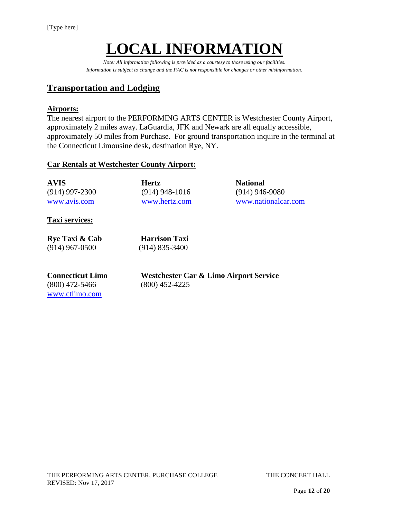# **LOCAL INFORMATION**

*Note: All information following is provided as a courtesy to those using our facilities. Information is subject to change and the PAC is not responsible for changes or other misinformation.*

# **Transportation and Lodging**

#### **Airports:**

The nearest airport to the PERFORMING ARTS CENTER is Westchester County Airport, approximately 2 miles away. LaGuardia, JFK and Newark are all equally accessible, approximately 50 miles from Purchase. For ground transportation inquire in the terminal at the Connecticut Limousine desk, destination Rye, NY.

#### **Car Rentals at Westchester County Airport:**

| <b>AVIS</b>      | <b>Hertz</b>     | <b>National</b>     |
|------------------|------------------|---------------------|
| $(914)$ 997-2300 | $(914)$ 948-1016 | $(914)$ 946-9080    |
| www.avis.com     | www.hertz.com    | www.nationalcar.com |

**Taxi services:**

| Rye Taxi & Cab   |  |
|------------------|--|
| $(914)$ 967-0500 |  |

**Harrison Taxi** (914) 835-3400

(800) 472-5466 (800) 452-4225 [www.ctlimo.com](http://www.ctlimo.com/)

**Connecticut Limo Westchester Car & Limo Airport Service**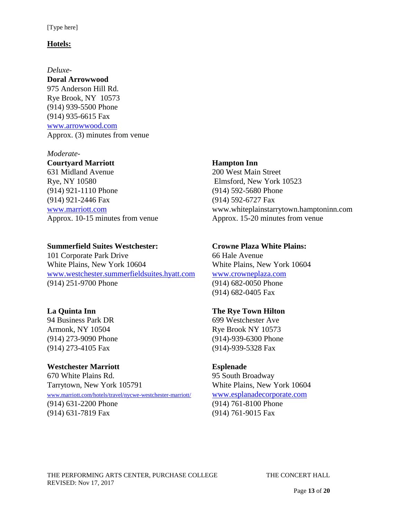#### **Hotels:**

#### *Deluxe-*

**Doral Arrowwood** 975 Anderson Hill Rd. Rye Brook, NY 10573 (914) 939-5500 Phone (914) 935-6615 Fax [www.arrowwood.com](http://www.arrowwood.com/) Approx. (3) minutes from venue

#### *Moderate-*

#### **Courtyard Marriott Hampton Inn**

631 Midland Avenue 200 West Main Street Rye, NY 10580 Elmsford, New York 10523 (914) 921-1110 Phone (914) 592-5680 Phone (914) 921-2446 Fax (914) 592-6727 Fax

#### **Summerfield Suites Westchester: Crowne Plaza White Plains:**

101 Corporate Park Drive 66 Hale Avenue White Plains, New York 10604 White Plains, New York 10604 [www.westchester.summerfieldsuites.hyatt.com](file://///vsfile02/Trevor%20C/Technical%20Info%20working/Pac%20Technical%20Info/Source%20Files/Theater%20A/www.westchester.summerfieldsuites.hyatt.com) [www.crowneplaza.com](http://www.crowneplaza.com/) (914) 251-9700 Phone (914) 682-0050 Phone

94 Business Park DR 699 Westchester Ave Armonk, NY 10504 Rye Brook NY 10573 (914) 273-4105 Fax (914)-939-5328 Fax

# **Westchester Marriott Esplenade**  670 White Plains Rd. 95 South Broadway Tarrytown, New York 105791 White Plains, New York 10604 [www.marriott.com/hotels/travel/nycwe-westchester-marriott/](http://www.marriott.com/hotels/travel/nycwe-westchester-marriott/) [www.esplanadecorporate.com](file://///vsfile02/Trevor%20C/Technical%20Info%20working/Pac%20Technical%20Info/Source%20Files/Theater%20A/www.esplanadecorporate.com) (914) 631-2200 Phone (914) 761-8100 Phone (914) 631-7819 Fax (914) 761-9015 Fax

[www.marriott.com](http://www.marriott.com/) www.whiteplainstarrytown.hamptoninn.com Approx. 10-15 minutes from venue Approx. 15-20 minutes from venue

(914) 682-0405 Fax

### **La Quinta Inn The Rye Town Hilton**

(914) 273-9090 Phone (914)-939-6300 Phone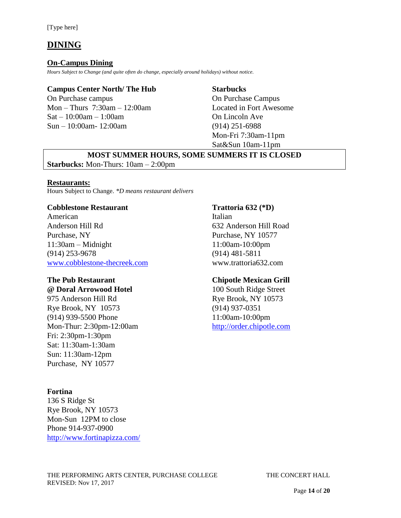# **DINING**

#### **On-Campus Dining**

*Hours Subject to Change (and quite often do change, especially around holidays) without notice.*

### **Campus Center North/ The Hub Starbucks**

On Purchase campus On Purchase Campus Mon – Thurs 7:30am – 12:00am Located in Fort Awesome  $Sat - 10:00am - 1:00am$  On Lincoln Ave Sun – 10:00am- 12:00am (914) 251-6988

Mon-Fri 7:30am-11pm Sat&Sun 10am-11pm

#### **MOST SUMMER HOURS, SOME SUMMERS IT IS CLOSED Starbucks:** Mon-Thurs: 10am – 2:00pm

#### **Restaurants:**

Hours Subject to Change. *\*D means restaurant delivers*

#### **Cobblestone Restaurant Trattoria 632 (\*D)**

American Italian Anderson Hill Rd 632 Anderson Hill Road Purchase, NY 10577 11:30am – Midnight 11:00am-10:00pm (914) 253-9678 (914) 481-5811 [www.cobblestone-thecreek.com](file://///vsfile02/Trevor%20C/Technical%20Info%20working/Pac%20Technical%20Info/Source%20Files/Theater%20A/www.cobblestone-thecreek.com) www.trattoria632.com

975 Anderson Hill Rd Rye Brook, NY 10573 Rye Brook, NY 10573 (914) 937-0351 (914) 939-5500 Phone 11:00am-10:00pm Mon-Thur: 2:30pm-12:00am [http://order.chipotle.com](http://order.chipotle.com/) Fri: 2:30pm-1:30pm Sat: 11:30am-1:30am Sun: 11:30am-12pm Purchase, NY 10577

#### **Fortina**

136 S Ridge St Rye Brook, NY 10573 Mon-Sun 12PM to close Phone 914-937-0900 <http://www.fortinapizza.com/>

#### **The Pub Restaurant Chipotle Mexican Grill**

**@ Doral Arrowood Hotel** 100 South Ridge Street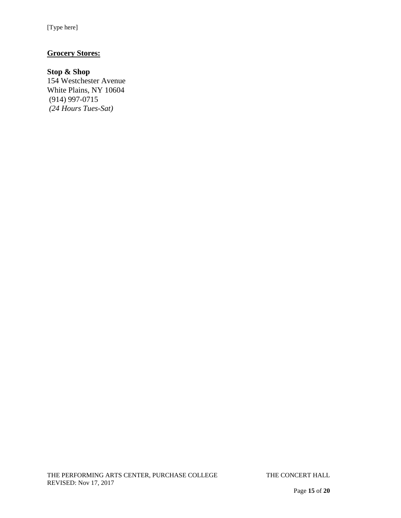# **Grocery Stores:**

### **Stop & Shop**

154 Westchester Avenue White Plains, NY 10604 (914) 997-0715 *(24 Hours Tues-Sat)*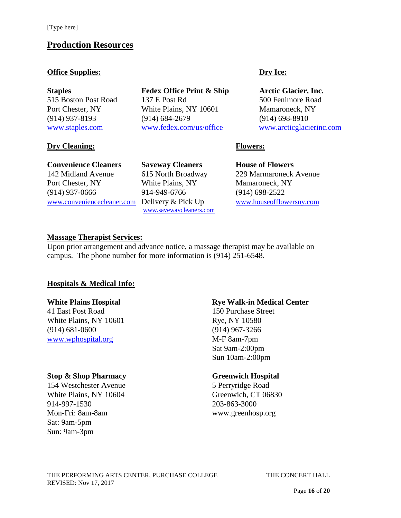# **Production Resources**

#### **Office Supplies:** Dry Ice:

#### **Dry Cleaning: Flowers:**

#### **Convenience Cleaners Saveway Cleaners House of Flowers**

142 Midland Avenue 615 North Broadway 229 Marmaroneck Avenue Port Chester, NY White Plains, NY Mamaroneck, NY (914) 937-0666 914-949-6766 (914) 698-2522 [www.conveniencecleaner.com](file://///vsfile02/Trevor%20C/Technical%20Info%20working/Pac%20Technical%20Info/Source%20Files/Theater%20A/www.conveniencecleaner.com) Delivery & Pick Up [www.houseofflowersny.com](http://www.houseofflowersny.com/)

**Staples Fedex Office Print & Ship Arctic Glacier, Inc.** 515 Boston Post Road 137 E Post Rd 500 Fenimore Road Port Chester, NY White Plains, NY 10601 Mamaroneck, NY (914) 937-8193 (914) 684-2679 (914) 698-8910 [www.staples.com](file://///vsfile02/Trevor%20C/Technical%20Info%20working/Pac%20Technical%20Info/Source%20Files/Theater%20A/www.staples.com) [www.fedex.com/us/office](file://///vsfile02/Trevor%20C/Technical%20Info%20working/Pac%20Technical%20Info/Source%20Files/Theater%20A/www.fedex.com/us/office) [www.arcticglacierinc.com](file://///vsfile02/Trevor%20C/Technical%20Info%20working/Pac%20Technical%20Info/Source%20Files/Theater%20A/www.arcticglacierinc.com)

### **Massage Therapist Services:**

Upon prior arrangement and advance notice, a massage therapist may be available on campus. The phone number for more information is (914) 251-6548.

[www.savewaycleaners.com](http://www.savewaycleaners.com/) 

### **Hospitals & Medical Info:**

41 East Post Road 150 Purchase Street White Plains, NY 10601 Rye, NY 10580 (914) 681-0600 (914) 967-3266 [www.wphospital.org](http://www.wphospital.org/) M-F 8am-7pm

#### **Stop & Shop Pharmacy Greenwich Hospital**

154 Westchester Avenue 5 Perryridge Road White Plains, NY 10604 Greenwich, CT 06830 914-997-1530 203-863-3000 Mon-Fri: 8am-8am www.greenhosp.org Sat: 9am-5pm Sun: 9am-3pm

### **White Plains Hospital <b>Rye Walk-in Medical Center**

Sat 9am-2:00pm Sun 10am-2:00pm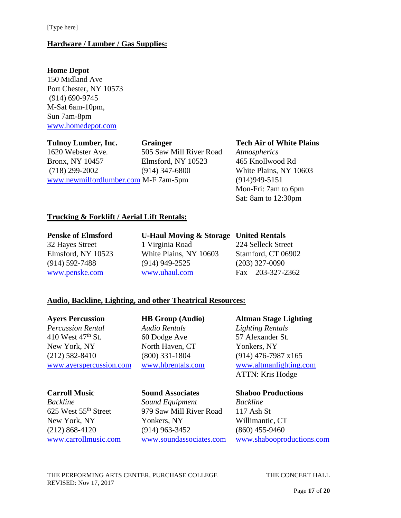#### **Hardware / Lumber / Gas Supplies:**

#### **Home Depot**

150 Midland Ave Port Chester, NY 10573 (914) 690-9745 M-Sat 6am-10pm, Sun 7am-8pm [www.homedepot.com](http://www.homedepot.com/)

**Tulnoy Lumber, Inc. Grainger Tech Air of White Plains** 1620 Webster Ave. 505 Saw Mill River Road *Atmospherics* Bronx, NY 10457 Elmsford, NY 10523 465 Knollwood Rd (718) 299-2002 (914) 347-6800 White Plains, NY 10603

[www.newmilfordlumber.com](http://www.newmilfordlumber.com/) M-F 7am-5pm (914)949-5151

Mon-Fri: 7am to 6pm Sat: 8am to 12:30pm

### **Trucking & Forklift / Aerial Lift Rentals:**

#### **Penske of Elmsford U-Haul Moving & Storage United Rentals** 32 Hayes Street 1 Virginia Road 224 Selleck Street Elmsford, NY 10523 White Plains, NY 10603 Stamford, CT 06902 (914) 592-7488 (914) 949-2525 (203) 327-0090 [www.penske.com](http://www.penske.com/) [www.uhaul.com](http://www.uhaul.com/) Fax – 203-327-2362

### **Audio, Backline, Lighting, and other Theatrical Resources:**

*Percussion Rental Audio Rentals Lighting Rentals* 410 West  $47<sup>th</sup>$  St. 60 Dodge Ave 57 Alexander St. New York, NY North Haven, CT Yonkers, NY (212) 582-8410 (800) 331-1804 (914) 476-7987 x165

*Backline Sound Equipment Backline* 625 West 55th Street 979 Saw Mill River Road 117 Ash St New York, NY Yonkers, NY Willimantic, CT (212) 868-4120 (914) 963-3452 (860) 455-9460

**Ayers Percussion HB Group (Audio) Altman Stage Lighting** [www.ayerspercussion.com](file:///C:/Documents%20and%20Settings/christy.havard/Desktop/www.ayerspercussion.com) [www.hbrentals.com](file:///C:/Documents%20and%20Settings/christy.havard/Desktop/www.hbrentals.com) [www.altmanlighting.com](file:///C:/Documents%20and%20Settings/christy.havard/Desktop/www.altmanlighting.com) ATTN: Kris Hodge

#### **Carroll Music Sound Associates Shaboo Productions**

[www.carrollmusic.com](http://www.carrollmusic.com/) [www.soundassociates.com](http://www.soundassociates.com/) [www.shabooproductions.com](file:///C:/Documents%20and%20Settings/christy.havard/Desktop/www.shabooproductions.com)

THE PERFORMING ARTS CENTER, PURCHASE COLLEGE THE CONCERT HALL REVISED: Nov 17, 2017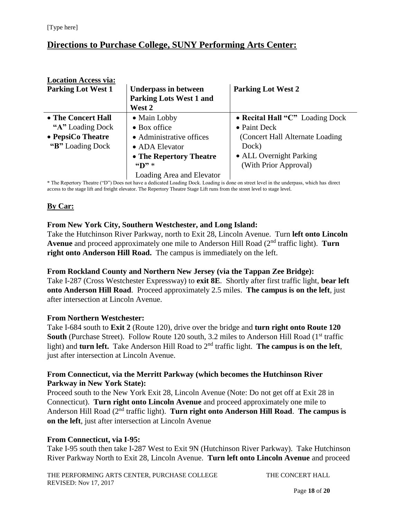# **Directions to Purchase College, SUNY Performing Arts Center:**

| <b>Location Access via:</b> |                                                     |                                  |
|-----------------------------|-----------------------------------------------------|----------------------------------|
| <b>Parking Lot West 1</b>   | <b>Underpass in between</b>                         | <b>Parking Lot West 2</b>        |
|                             | <b>Parking Lots West 1 and</b>                      |                                  |
|                             | West 2                                              |                                  |
| • The Concert Hall          | • Main Lobby                                        | • Recital Hall "C" Loading Dock  |
| "A" Loading Dock            | $\bullet$ Box office                                | $\bullet$ Paint Deck             |
| • PepsiCo Theatre           | • Administrative offices                            | (Concert Hall Alternate Loading) |
| "B" Loading Dock            | • ADA Elevator                                      | Dock)                            |
|                             | • The Repertory Theatre                             | • ALL Overnight Parking          |
|                             | $\mathbf{F}$ $\mathbf{D}$ $\mathbf{F}$ $\mathbf{F}$ | (With Prior Approval)            |
|                             | Loading Area and Elevator                           |                                  |

\* The Repertory Theatre ("D") Does not have a dedicated Loading Dock. Loading is done on street level in the underpass, which has direct access to the stage lift and freight elevator. The Repertory Theatre Stage Lift runs from the street level to stage level.

# **By Car:**

### **From New York City, Southern Westchester, and Long Island:**

Take the Hutchinson River Parkway, north to Exit 28, Lincoln Avenue. Turn **left onto Lincoln Avenue** and proceed approximately one mile to Anderson Hill Road (2nd traffic light). **Turn right onto Anderson Hill Road.** The campus is immediately on the left.

#### **From Rockland County and Northern New Jersey (via the Tappan Zee Bridge):**

Take I-287 (Cross Westchester Expressway) to **exit 8E**. Shortly after first traffic light, **bear left onto Anderson Hill Road**. Proceed approximately 2.5 miles. **The campus is on the left**, just after intersection at Lincoln Avenue.

#### **From Northern Westchester:**

Take I-684 south to **Exit 2** (Route 120), drive over the bridge and **turn right onto Route 120 South** (Purchase Street). Follow Route 120 south, 3.2 miles to Anderson Hill Road (1<sup>st</sup> traffic light) and **turn left.** Take Anderson Hill Road to 2<sup>nd</sup> traffic light. **The campus is on the left**, just after intersection at Lincoln Avenue.

#### **From Connecticut, via the Merritt Parkway (which becomes the Hutchinson River Parkway in New York State):**

Proceed south to the New York Exit 28, Lincoln Avenue (Note: Do not get off at Exit 28 in Connecticut). **Turn right onto Lincoln Avenue** and proceed approximately one mile to Anderson Hill Road (2nd traffic light). **Turn right onto Anderson Hill Road**. **The campus is on the left**, just after intersection at Lincoln Avenue

### **From Connecticut, via I-95:**

Take I-95 south then take I-287 West to Exit 9N (Hutchinson River Parkway). Take Hutchinson River Parkway North to Exit 28, Lincoln Avenue. **Turn left onto Lincoln Avenue** and proceed

THE PERFORMING ARTS CENTER, PURCHASE COLLEGE THE CONCERT HALL REVISED: Nov 17, 2017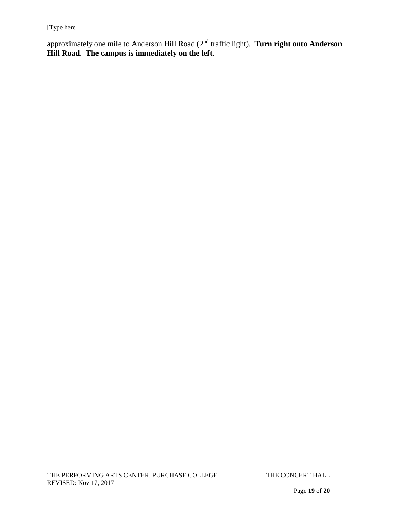approximately one mile to Anderson Hill Road (2nd traffic light). **Turn right onto Anderson Hill Road**. **The campus is immediately on the left**.